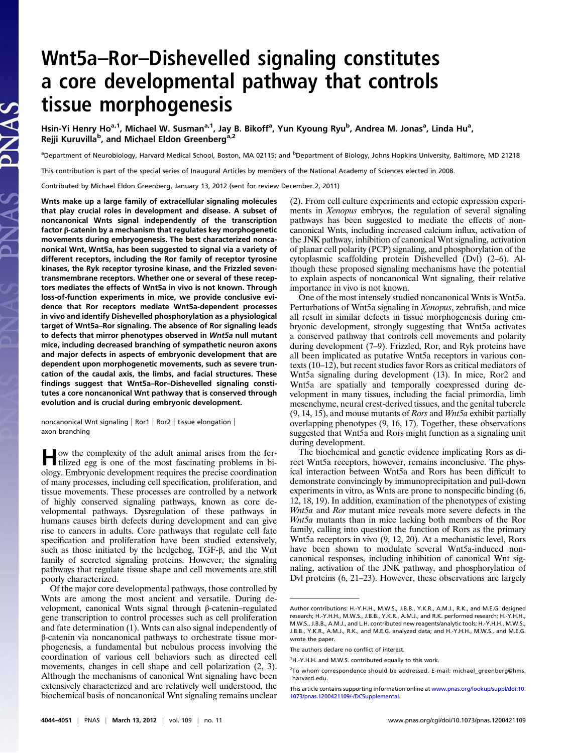# Wnt5a–Ror–Dishevelled signaling constitutes a core developmental pathway that controls tissue morphogenesis

Hsin-Yi Henry Ho<sup>a, 1</sup>, Michael W. Susman<sup>a, 1</sup>, Jay B. Bikoff<sup>a</sup>, Yun Kyoung Ryu<sup>b</sup>, Andrea M. Jonas<sup>a</sup>, Linda Hu<sup>a</sup>, Rejji Kuruvilla<sup>b</sup>, and Michael Eldon Greenberg<sup>a,2</sup>

<sup>a</sup>Department of Neurobiology, Harvard Medical School, Boston, MA 02115; and <sup>b</sup>Department of Biology, Johns Hopkins University, Baltimore, MD 21218

This contribution is part of the special series of Inaugural Articles by members of the National Academy of Sciences elected in 2008.

Contributed by Michael Eldon Greenberg, January 13, 2012 (sent for review December 2, 2011)

Wnts make up a large family of extracellular signaling molecules that play crucial roles in development and disease. A subset of noncanonical Wnts signal independently of the transcription factor β-catenin by a mechanism that regulates key morphogenetic movements during embryogenesis. The best characterized noncanonical Wnt, Wnt5a, has been suggested to signal via a variety of different receptors, including the Ror family of receptor tyrosine kinases, the Ryk receptor tyrosine kinase, and the Frizzled seventransmembrane receptors. Whether one or several of these receptors mediates the effects of Wnt5a in vivo is not known. Through loss-of-function experiments in mice, we provide conclusive evidence that Ror receptors mediate Wnt5a-dependent processes in vivo and identify Dishevelled phosphorylation as a physiological target of Wnt5a–Ror signaling. The absence of Ror signaling leads to defects that mirror phenotypes observed in Wnt5a null mutant mice, including decreased branching of sympathetic neuron axons and major defects in aspects of embryonic development that are dependent upon morphogenetic movements, such as severe truncation of the caudal axis, the limbs, and facial structures. These findings suggest that Wnt5a–Ror–Dishevelled signaling constitutes a core noncanonical Wnt pathway that is conserved through evolution and is crucial during embryonic development.

noncanonical Wnt signaling | Ror1 | Ror2 | tissue elongation | axon branching

How the complexity of the adult animal arises from the fer-tilized egg is one of the most fascinating problems in biology. Embryonic development requires the precise coordination of many processes, including cell specification, proliferation, and tissue movements. These processes are controlled by a network of highly conserved signaling pathways, known as core developmental pathways. Dysregulation of these pathways in humans causes birth defects during development and can give rise to cancers in adults. Core pathways that regulate cell fate specification and proliferation have been studied extensively, such as those initiated by the hedgehog, TGF-β, and the Wnt family of secreted signaling proteins. However, the signaling pathways that regulate tissue shape and cell movements are still poorly characterized.

Of the major core developmental pathways, those controlled by Wnts are among the most ancient and versatile. During development, canonical Wnts signal through β-catenin–regulated gene transcription to control processes such as cell proliferation and fate determination (1). Wnts can also signal independently of β-catenin via noncanonical pathways to orchestrate tissue morphogenesis, a fundamental but nebulous process involving the coordination of various cell behaviors such as directed cell movements, changes in cell shape and cell polarization (2, 3). Although the mechanisms of canonical Wnt signaling have been extensively characterized and are relatively well understood, the biochemical basis of noncanonical Wnt signaling remains unclear (2). From cell culture experiments and ectopic expression experiments in Xenopus embryos, the regulation of several signaling pathways has been suggested to mediate the effects of noncanonical Wnts, including increased calcium influx, activation of the JNK pathway, inhibition of canonical Wnt signaling, activation of planar cell polarity (PCP) signaling, and phosphorylation of the cytoplasmic scaffolding protein Dishevelled (Dvl) (2–6). Although these proposed signaling mechanisms have the potential to explain aspects of noncanonical Wnt signaling, their relative importance in vivo is not known.

One of the most intensely studied noncanonical Wnts is Wnt5a. Perturbations of Wnt5a signaling in Xenopus, zebrafish, and mice all result in similar defects in tissue morphogenesis during embryonic development, strongly suggesting that Wnt5a activates a conserved pathway that controls cell movements and polarity during development (7–9). Frizzled, Ror, and Ryk proteins have all been implicated as putative Wnt5a receptors in various contexts (10–12), but recent studies favor Rors as critical mediators of Wnt5a signaling during development (13). In mice, Ror2 and Wnt5a are spatially and temporally coexpressed during development in many tissues, including the facial primordia, limb mesenchyme, neural crest-derived tissues, and the genital tubercle  $(9, 14, 15)$ , and mouse mutants of *Rors* and *Wnt5a* exhibit partially overlapping phenotypes (9, 16, 17). Together, these observations suggested that Wnt5a and Rors might function as a signaling unit during development.

The biochemical and genetic evidence implicating Rors as direct Wnt5a receptors, however, remains inconclusive. The physical interaction between Wnt5a and Rors has been difficult to demonstrate convincingly by immunoprecipitation and pull-down experiments in vitro, as Wnts are prone to nonspecific binding (6, 12, 18, 19). In addition, examination of the phenotypes of existing Wnt5a and Ror mutant mice reveals more severe defects in the Wnt5a mutants than in mice lacking both members of the Ror family, calling into question the function of Rors as the primary Wnt5a receptors in vivo (9, 12, 20). At a mechanistic level, Rors have been shown to modulate several Wnt5a-induced noncanonical responses, including inhibition of canonical Wnt signaling, activation of the JNK pathway, and phosphorylation of Dvl proteins (6, 21–23). However, these observations are largely

Author contributions: H.-Y.H.H., M.W.S., J.B.B., Y.K.R., A.M.J., R.K., and M.E.G. designed research; H.-Y.H.H., M.W.S., J.B.B., Y.K.R., A.M.J., and R.K. performed research; H.-Y.H.H., M.W.S., J.B.B., A.M.J., and L.H. contributed new reagents/analytic tools; H.-Y.H.H., M.W.S., J.B.B., Y.K.R., A.M.J., R.K., and M.E.G. analyzed data; and H.-Y.H.H., M.W.S., and M.E.G. wrote the paper.

The authors declare no conflict of interest.

<sup>&</sup>lt;sup>1</sup>H.-Y.H.H. and M.W.S. contributed equally to this work.

<sup>&</sup>lt;sup>2</sup>To whom correspondence should be addressed. E-mail: michael\_greenberg@hms. harvard.edu.

This article contains supporting information online at www.pnas.org/lookup/suppl/doi:10. 1073/pnas.1200421109/-/DCSupplemental.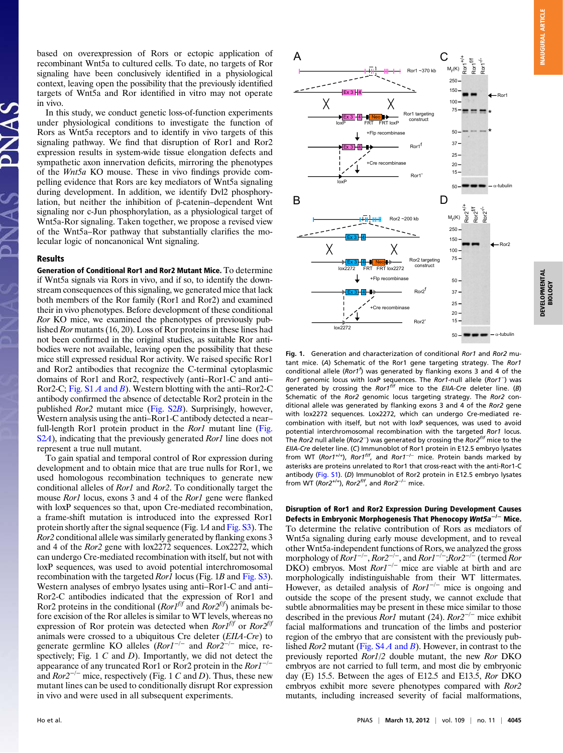based on overexpression of Rors or ectopic application of recombinant Wnt5a to cultured cells. To date, no targets of Ror signaling have been conclusively identified in a physiological context, leaving open the possibility that the previously identified targets of Wnt5a and Ror identified in vitro may not operate in vivo.

In this study, we conduct genetic loss-of-function experiments under physiological conditions to investigate the function of Rors as Wnt5a receptors and to identify in vivo targets of this signaling pathway. We find that disruption of Ror1 and Ror2 expression results in system-wide tissue elongation defects and sympathetic axon innervation deficits, mirroring the phenotypes of the Wnt5a KO mouse. These in vivo findings provide compelling evidence that Rors are key mediators of Wnt5a signaling during development. In addition, we identify Dvl2 phosphorylation, but neither the inhibition of β-catenin–dependent Wnt signaling nor c-Jun phosphorylation, as a physiological target of Wnt5a-Ror signaling. Taken together, we propose a revised view of the Wnt5a–Ror pathway that substantially clarifies the molecular logic of noncanonical Wnt signaling.

#### Results

Generation of Conditional Ror1 and Ror2 Mutant Mice. To determine if Wnt5a signals via Rors in vivo, and if so, to identify the downstream consequences of this signaling, we generated mice that lack both members of the Ror family (Ror1 and Ror2) and examined their in vivo phenotypes. Before development of these conditional Ror KO mice, we examined the phenotypes of previously published Ror mutants (16, 20). Loss of Ror proteins in these lines had not been confirmed in the original studies, as suitable Ror antibodies were not available, leaving open the possibility that these mice still expressed residual Ror activity. We raised specific Ror1 and Ror2 antibodies that recognize the C-terminal cytoplasmic domains of Ror1 and Ror2, respectively (anti–Ror1-C and anti– Ror2-C; Fig.  $S1A$  and B). Western blotting with the anti–Ror2-C antibody confirmed the absence of detectable Ror2 protein in the published Ror2 mutant mice (Fig. S2B). Surprisingly, however, Western analysis using the anti–Ror1-C antibody detected a near– full-length Ror1 protein product in the Ror1 mutant line (Fig. S2A), indicating that the previously generated Ror1 line does not represent a true null mutant.

To gain spatial and temporal control of Ror expression during development and to obtain mice that are true nulls for Ror1, we used homologous recombination techniques to generate new conditional alleles of Ror1 and Ror2. To conditionally target the mouse *Ror1* locus, exons 3 and 4 of the *Ror1* gene were flanked with loxP sequences so that, upon Cre-mediated recombination, a frame-shift mutation is introduced into the expressed Ror1 protein shortly after the signal sequence (Fig. 1A and Fig. S3). The Ror2 conditional allele was similarly generated by flanking exons 3 and 4 of the Ror2 gene with lox2272 sequences. Lox2272, which can undergo Cre-mediated recombination with itself, but not with loxP sequences, was used to avoid potential interchromosomal recombination with the targeted *Ror1* locus (Fig. 1*B* and Fig. S3). Western analyses of embryo lysates using anti–Ror1-C and anti– Ror2-C antibodies indicated that the expression of Ror1 and Ror2 proteins in the conditional  $(Ror1<sup>lf</sup>)$  and  $Ror2<sup>lf</sup>)$  animals be-<br>fore excision of the Ror alleles is similar to WT levels, whereas no fore excision of the Ror alleles is similar to WT levels, whereas no expression of Ror protein was detected when  $Ror1^{ff}$  or  $Ror2^{ff}$ animals were crossed to a ubiquitous Cre deleter (EIIA-Cre) to generate germline KO alleles  $(Ror1^{-/-}$  and  $Ror2^{-/-}$  mice, respectively; Fig.  $1 \, C$  and  $D$ ). Importantly, we did not detect the appearance of any truncated Ror1 or Ror2 protein in the  $Ror1^{-/-}$ and  $Ror2^{-/-}$  mice, respectively (Fig. 1 C and D). Thus, these new mutant lines can be used to conditionally disrupt Ror expression in vivo and were used in all subsequent experiments.



Fig. 1. Generation and characterization of conditional Ror1 and Ror2 mutant mice. (A) Schematic of the Ror1 gene targeting strategy. The Ror1 conditional allele ( $Ror1<sup>1</sup>$ ) was generated by flanking exons 3 and 4 of the Ror1 genomic locus with loxP sequences. The Ror1-null allele (Ror1−) was generated by crossing the Ror1<sup>f/f</sup> mice to the EIIA-Cre deleter line. (B) Schematic of the Ror2 genomic locus targeting strategy. The Ror2 conditional allele was generated by flanking exons 3 and 4 of the Ror2 gene with lox2272 sequences. Lox2272, which can undergo Cre-mediated recombination with itself, but not with loxP sequences, was used to avoid potential interchromosomal recombination with the targeted Ror1 locus. The Ror2 null allele (Ror2<sup>-</sup>) was generated by crossing the Ror2<sup>f/f</sup> mice to the EIIA-Cre deleter line. (C) Immunoblot of Ror1 protein in E12.5 embryo lysates from WT (Ror1<sup>+/+</sup>), Ror1<sup>f/f</sup>, and Ror1<sup>-/-</sup> mice. Protein bands marked by asterisks are proteins unrelated to Ror1 that cross-react with the anti-Ror1-C antibody (Fig. S1). (D) Immunoblot of Ror2 protein in E12.5 embryo lysates from WT (Ror2<sup>+/+</sup>), Ror2<sup>f/f</sup>, and Ror2<sup>-/-</sup> mice.

Disruption of Ror1 and Ror2 Expression During Development Causes Defects in Embryonic Morphogenesis That Phenocopy Wnt5a<sup>−/−</sup> Mice. To determine the relative contribution of Rors as mediators of Wnt5a signaling during early mouse development, and to reveal other Wnt5a-independent functions of Rors, we analyzed the gross morphology of  $Ror1^{-/-}$ ,  $Ror2^{-/-}$ , and  $Ror1^{-/-}$ ;  $Ror2^{-/-}$  (termed Ror<br>DKO) embryos. Most  $Ror1^{-/-}$  mice are viable at birth and are DKO) embryos. Most  $Ror1^{-/-}$  mice are viable at birth and are morphologically indistinguishable from their WT littermates morphologically indistinguishable from their WT littermates. However, as detailed analysis of  $Ror1^{-/-}$  mice is ongoing and outside the scope of the present study, we cannot exclude that subtle abnormalities may be present in these mice similar to those described in the previous *Ror1* mutant (24).  $Ror2^{-/-}$  mice exhibit facial malformations and truncation of the limbs and posterior region of the embryo that are consistent with the previously published *Ror2* mutant (Fig.  $S4A$  and *B*). However, in contrast to the previously reported Ror1/2 double mutant, the new Ror DKO embryos are not carried to full term, and most die by embryonic day (E) 15.5. Between the ages of E12.5 and E13.5, Ror DKO embryos exhibit more severe phenotypes compared with Ror2 mutants, including increased severity of facial malformations,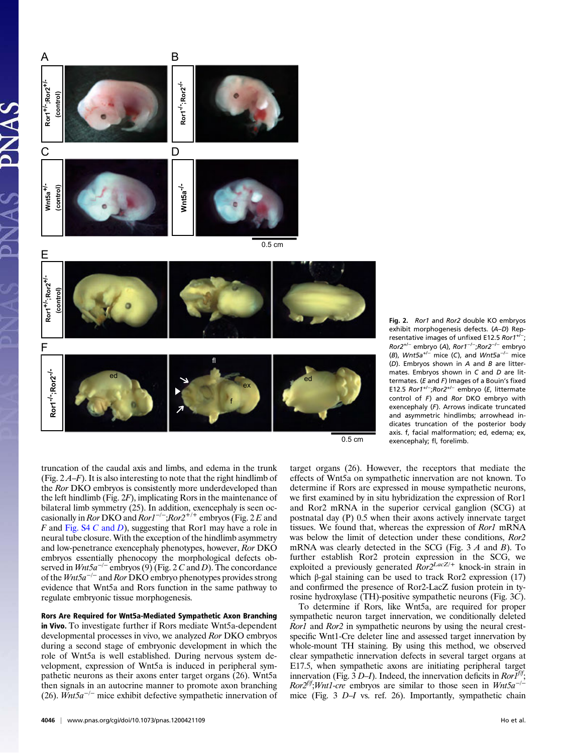

Fig. 2. Ror1 and Ror2 double KO embryos exhibit morphogenesis defects. (A–D) Representative images of unfixed E12.5 Ror1<sup>+/−</sup>; Ror2+/<sup>−</sup> embryo (A), Ror1−/−;Ror2−/<sup>−</sup> embryo (B),  $Wnt5a^{+/-}$  mice (C), and  $Wnt5a^{-/-}$  mice  $(D)$ . Embryos shown in A and B are littermates. Embryos shown in C and D are littermates. ( $E$  and  $F$ ) Images of a Bouin's fixed E12.5 Ror1+/−;Ror2+/<sup>−</sup> embryo (E, littermate control of  $F$ ) and Ror DKO embryo with exencephaly (F). Arrows indicate truncated and asymmetric hindlimbs; arrowhead indicates truncation of the posterior body axis. f, facial malformation; ed, edema; ex, exencephaly; fl, forelimb.

truncation of the caudal axis and limbs, and edema in the trunk (Fig.  $2A-F$ ). It is also interesting to note that the right hindlimb of the Ror DKO embryos is consistently more underdeveloped than the left hindlimb (Fig. 2F), implicating Rors in the maintenance of bilateral limb symmetry (25). In addition, exencephaly is seen occasionally in *Ror* DKO and  $Ror1^{-/-}$ ; $Ror2^{+/+}$  embryos (Fig. 2 E and F and Fig. 3 Let and D), suggesting that Ror1 may have a role in  $F$  and Fig. S4  $C$  and  $D$ ), suggesting that Ror1 may have a role in neural tube closure. With the exception of the hindlimb asymmetry and low-penetrance exencephaly phenotypes, however, Ror DKO embryos essentially phenocopy the morphological defects observed in  $Wnt5a^{-/-}$  embryos (9) (Fig. 2 C and D). The concordance of the  $Wnt5a^{-/-}$  and Ror DKO embryo phenotypes provides strong evidence that Wnt5a and Rors function in the same pathway to regulate embryonic tissue morphogenesis.

#### Rors Are Required for Wnt5a-Mediated Sympathetic Axon Branching

in Vivo. To investigate further if Rors mediate Wnt5a-dependent developmental processes in vivo, we analyzed Ror DKO embryos during a second stage of embryonic development in which the role of Wnt5a is well established. During nervous system development, expression of Wnt5a is induced in peripheral sympathetic neurons as their axons enter target organs (26). Wnt5a then signals in an autocrine manner to promote axon branching (26). Wnt5a<sup>-/-</sup> mice exhibit defective sympathetic innervation of target organs (26). However, the receptors that mediate the effects of Wnt5a on sympathetic innervation are not known. To determine if Rors are expressed in mouse sympathetic neurons, we first examined by in situ hybridization the expression of Ror1 and Ror2 mRNA in the superior cervical ganglion (SCG) at postnatal day (P) 0.5 when their axons actively innervate target tissues. We found that, whereas the expression of Ror1 mRNA was below the limit of detection under these conditions,  $Ror2$  mRNA was clearly detected in the SCG (Fig. 3  $A$  and  $B$ ). To mRNA was clearly detected in the SCG (Fig. 3 A and B). To further establish Ror2 protein expression in the SCG, we exploited a previously generated  $Ror2^{LacZ/\pm}$  knock-in strain in<br>which B-gal staining can be used to track Ror2 expression (17) which β-gal staining can be used to track Ror2 expression  $(17)$ and confirmed the presence of Ror2-LacZ fusion protein in tyrosine hydroxylase (TH)-positive sympathetic neurons (Fig. 3C).

To determine if Rors, like Wnt5a, are required for proper sympathetic neuron target innervation, we conditionally deleted Ror1 and Ror2 in sympathetic neurons by using the neural crestspecific Wnt1-Cre deleter line and assessed target innervation by whole-mount TH staining. By using this method, we observed clear sympathetic innervation defects in several target organs at E17.5, when sympathetic axons are initiating peripheral target innervation (Fig. 3 D–I). Indeed, the innervation deficits in  $Ror\bar{I}^{ff}$ ;  $Ror2^{ff}$ ;*Wnt1-cre* embryos are similar to those seen in Wnt5a<sup>-/-</sup> mice (Fig. 3 D–I vs. ref. 26). Importantly, sympathetic chain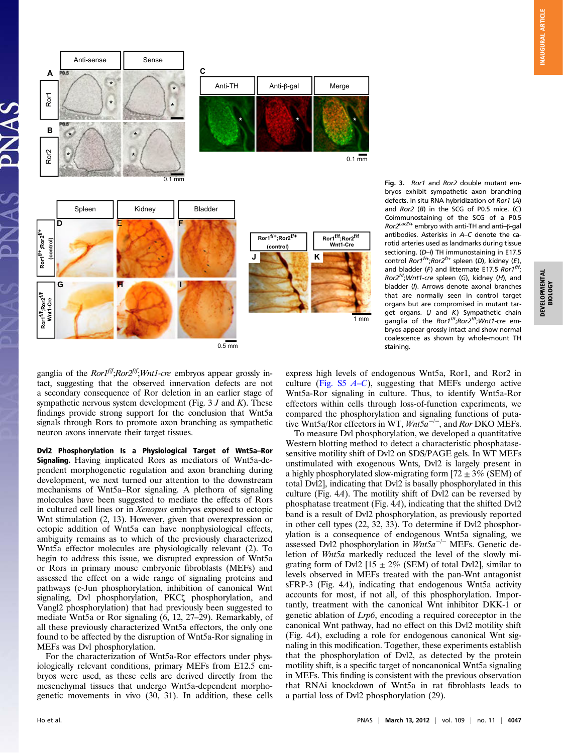

Fig. 3. Ror1 and Ror2 double mutant embryos exhibit sympathetic axon branching defects. In situ RNA hybridization of Ror1 (A) and  $Ror2$  ( $B$ ) in the SCG of P0.5 mice. ( $C$ ) Coimmunostaining of the SCG of a P0.5 Ror2LacZ/+ embryo with anti-TH and anti–β-gal antibodies. Asterisks in A–C denote the carotid arteries used as landmarks during tissue sectioning.  $(D-1)$  TH immunostaining in E17.5 control Ror1<sup>f/+</sup>;Ror2<sup>f/+</sup> spleen (D), kidney (E), and bladder (F) and littermate E17.5 Ror1<sup>fff</sup>;  $Ror2^{ff}$ ;Wnt1-cre spleen (G), kidney (H), and bladder (I). Arrows denote axonal branches that are normally seen in control target organs but are compromised in mutant target organs. (J and K) Sympathetic chain<br>ganglia of the *Ror1<sup>fff</sup>;Ror2<sup>fff</sup>;Wnt1-cre* embryos appear grossly intact and show normal coalescence as shown by whole-mount TH staining.

ganglia of the  $Ror1<sup>f/f</sup>; Ror2<sup>f/f</sup>; Wnt1-cre$  embryos appear grossly intact, suggesting that the observed innervation defects are not a secondary consequence of Ror deletion in an earlier stage of sympathetic nervous system development (Fig.  $3 J$  and K). These findings provide strong support for the conclusion that Wnt5a signals through Rors to promote axon branching as sympathetic neuron axons innervate their target tissues.

Dvl2 Phosphorylation Is a Physiological Target of Wnt5a–Ror Signaling. Having implicated Rors as mediators of Wnt5a-dependent morphogenetic regulation and axon branching during development, we next turned our attention to the downstream mechanisms of Wnt5a–Ror signaling. A plethora of signaling molecules have been suggested to mediate the effects of Rors in cultured cell lines or in Xenopus embryos exposed to ectopic Wnt stimulation (2, 13). However, given that overexpression or ectopic addition of Wnt5a can have nonphysiological effects, ambiguity remains as to which of the previously characterized Wnt5a effector molecules are physiologically relevant (2). To begin to address this issue, we disrupted expression of Wnt5a or Rors in primary mouse embryonic fibroblasts (MEFs) and assessed the effect on a wide range of signaling proteins and pathways (c-Jun phosphorylation, inhibition of canonical Wnt signaling, Dvl phosphorylation, PKCζ phosphorylation, and Vangl2 phosphorylation) that had previously been suggested to mediate Wnt5a or Ror signaling (6, 12, 27–29). Remarkably, of all these previously characterized Wnt5a effectors, the only one found to be affected by the disruption of Wnt5a-Ror signaling in MEFs was Dvl phosphorylation.

For the characterization of Wnt5a-Ror effectors under physiologically relevant conditions, primary MEFs from E12.5 embryos were used, as these cells are derived directly from the mesenchymal tissues that undergo Wnt5a-dependent morphogenetic movements in vivo (30, 31). In addition, these cells express high levels of endogenous Wnt5a, Ror1, and Ror2 in culture (Fig. S5  $A-C$ ), suggesting that MEFs undergo active Wnt5a-Ror signaling in culture. Thus, to identify Wnt5a-Ror effectors within cells through loss-of-function experiments, we compared the phosphorylation and signaling functions of putative Wnt5a/Ror effectors in WT,  $Wnt5a^{-/-}$ , and Ror DKO MEFs.

To measure Dvl phosphorylation, we developed a quantitative Western blotting method to detect a characteristic phosphatasesensitive motility shift of Dvl2 on SDS/PAGE gels. In WT MEFs unstimulated with exogenous Wnts, Dvl2 is largely present in a highly phosphorylated slow-migrating form  $[72 \pm 3\%$  (SEM) of total Dvl2], indicating that Dvl2 is basally phosphorylated in this culture (Fig. 4A). The motility shift of Dvl2 can be reversed by phosphatase treatment (Fig. 4A), indicating that the shifted Dvl2 band is a result of Dvl2 phosphorylation, as previously reported in other cell types (22, 32, 33). To determine if Dvl2 phosphorylation is a consequence of endogenous Wnt5a signaling, we assessed Dvl2 phosphorylation in Wnt5a<sup>-/−</sup> MEFs. Genetic deletion of Wnt5a markedly reduced the level of the slowly migrating form of Dvl2 [15  $\pm$  2% (SEM) of total Dvl2], similar to levels observed in MEFs treated with the pan-Wnt antagonist sFRP-3 (Fig. 4A), indicating that endogenous Wnt5a activity accounts for most, if not all, of this phosphorylation. Importantly, treatment with the canonical Wnt inhibitor DKK-1 or genetic ablation of Lrp6, encoding a required coreceptor in the canonical Wnt pathway, had no effect on this Dvl2 motility shift (Fig. 4A), excluding a role for endogenous canonical Wnt signaling in this modification. Together, these experiments establish that the phosphorylation of Dvl2, as detected by the protein motility shift, is a specific target of noncanonical Wnt5a signaling in MEFs. This finding is consistent with the previous observation that RNAi knockdown of Wnt5a in rat fibroblasts leads to a partial loss of Dvl2 phosphorylation (29).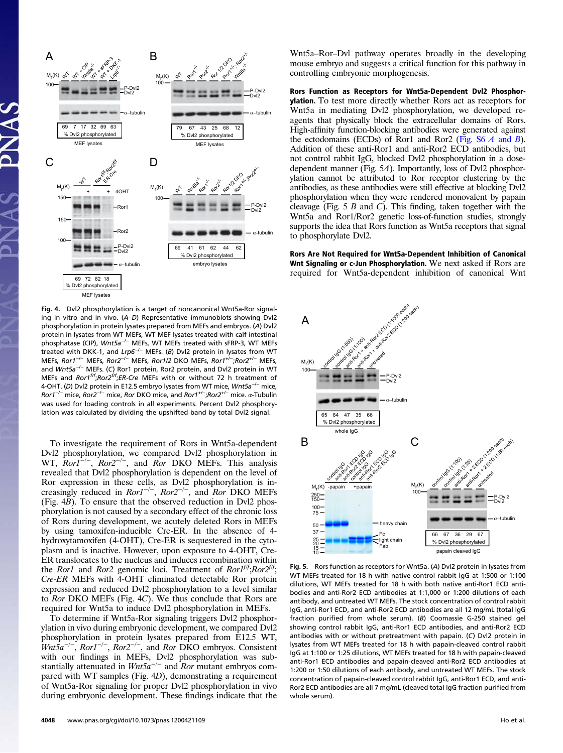

Fig. 4. Dvl2 phosphorylation is a target of noncanonical Wnt5a-Ror signaling in vitro and in vivo. (A–D) Representative immunoblots showing Dvl2 phosphorylation in protein lysates prepared from MEFs and embryos. (A) Dvl2 protein in lysates from WT MEFs, WT MEF lysates treated with calf intestinal phosphatase (CIP), Wnt5a<sup>-/−</sup> MEFs, WT MEFs treated with sFRP-3, WT MEFs treated with DKK-1, and Lrp6<sup>-/−</sup> MEFs. (B) Dvl2 protein in lysates from WT MEFs, Ror1<sup>−/−</sup> MEFs, Ror2<sup>−/−</sup> MEFs, Ror1/2 DKO MEFs, Ror1<sup>+/−</sup>;Ror2<sup>+/−</sup> MEFs, and Wnt5a−/<sup>−</sup> MEFs. (C) Ror1 protein, Ror2 protein, and Dvl2 protein in WT MEFs and  $Ror1<sup>fft</sup>; Ror2<sup>fft</sup>; ER-Cre MEFs with or without 72 h treatment of$ 4-OHT. (D) Dvl2 protein in E12.5 embryo lysates from WT mice, Wnt5a<sup>-/−</sup> mice, Ror1−/<sup>−</sup> mice, Ror2−/<sup>−</sup> mice, Ror DKO mice, and Ror1+/<sup>−</sup> ;Ror2+/<sup>−</sup> mice. α-Tubulin was used for loading controls in all experiments. Percent Dvl2 phosphorylation was calculated by dividing the upshifted band by total Dvl2 signal.

To investigate the requirement of Rors in Wnt5a-dependent Dvl2 phosphorylation, we compared Dvl2 phosphorylation in WT,  $Ror1^{-/-}$ ,  $Ror2^{-/-}$ , and  $Ror$  DKO MEFs. This analysis revealed that Dvl2 phosphorylation is dependent on the level of Ror expression in these cells, as Dvl2 phosphorylation is increasingly reduced in  $Ror1^{-/-}$ ,  $Ror2^{-/-}$ , and  $Ror$  DKO MEFs (Fig.  $4\overline{B}$ ). To ensure that the observed reduction in Dvl2 phosphorylation is not caused by a secondary effect of the chronic loss of Rors during development, we acutely deleted Rors in MEFs by using tamoxifen-inducible Cre-ER. In the absence of 4 hydroxytamoxifen (4-OHT), Cre-ER is sequestered in the cytoplasm and is inactive. However, upon exposure to 4-OHT, Cre-ER translocates to the nucleus and induces recombination within the *Ror1* and *Ror2* genomic loci. Treatment of *Ror1*<sup>f/f</sup>;*Ror2*<sup>f/f</sup>; Cre-ER MEFs with 4-OHT eliminated detectable Ror protein expression and reduced Dvl2 phosphorylation to a level similar to Ror DKO MEFs (Fig. 4C). We thus conclude that Rors are required for Wnt5a to induce Dvl2 phosphorylation in MEFs.

To determine if Wnt5a-Ror signaling triggers Dvl2 phosphorylation in vivo during embryonic development, we compared Dvl2 phosphorylation in protein lysates prepared from E12.5 WT,  $Wnt\bar{5}a^{-/-}$ ,  $Ror1^{-/-}$ ,  $Ror2^{-/-}$ , and  $Ror$  DKO embryos. Consistent<br>with our findings in MEEs Dyl2 phosphorylation was subwith our findings in MEFs, Dvl2 phosphorylation was substantially attenuated in  $Wnt5a^{-/-}$  and Ror mutant embryos compared with WT samples (Fig. 4D), demonstrating a requirement of Wnt5a-Ror signaling for proper Dvl2 phosphorylation in vivo during embryonic development. These findings indicate that the

4048 | www.pnas.org/cgi/doi/10.1073/pnas.1200421109 http://www.pnas.org/cgi/doi/10.1073/pnas.1200421109

Wnt5a–Ror–Dvl pathway operates broadly in the developing mouse embryo and suggests a critical function for this pathway in controlling embryonic morphogenesis.

Rors Function as Receptors for Wnt5a-Dependent Dvl2 Phosphorylation. To test more directly whether Rors act as receptors for Wnt5a in mediating Dvl2 phosphorylation, we developed reagents that physically block the extracellular domains of Rors. High-affinity function-blocking antibodies were generated against the ectodomains (ECDs) of Ror1 and Ror2 (Fig.  $S6 \, \text{A}$  and  $\text{B}$ ). Addition of these anti-Ror1 and anti-Ror2 ECD antibodies, but not control rabbit IgG, blocked Dvl2 phosphorylation in a dosedependent manner (Fig. 5A). Importantly, loss of Dvl2 phosphorylation cannot be attributed to Ror receptor clustering by the antibodies, as these antibodies were still effective at blocking Dvl2 phosphorylation when they were rendered monovalent by papain cleavage (Fig.  $5 \, B$  and  $C$ ). This finding, taken together with the Wnt5a and Ror1/Ror2 genetic loss-of-function studies, strongly supports the idea that Rors function as Wnt5a receptors that signal to phosphorylate Dvl2.

Rors Are Not Required for Wnt5a-Dependent Inhibition of Canonical Wht Signaling or c-Jun Phosphorylation. We next asked if Rors are required for Wnt5a-dependent inhibition of canonical Wnt



Fig. 5. Rors function as receptors for Wnt5a. (A) Dvl2 protein in lysates from WT MEFs treated for 18 h with native control rabbit IgG at 1:500 or 1:100 dilutions, WT MEFs treated for 18 h with both native anti-Ror1 ECD antibodies and anti-Ror2 ECD antibodies at 1:1,000 or 1:200 dilutions of each antibody, and untreated WT MEFs. The stock concentration of control rabbit IgG, anti-Ror1 ECD, and anti-Ror2 ECD antibodies are all 12 mg/mL (total IgG fraction purified from whole serum). (B) Coomassie G-250 stained gel showing control rabbit IgG, anti-Ror1 ECD antibodies, and anti-Ror2 ECD antibodies with or without pretreatment with papain. (C) Dvl2 protein in lysates from WT MEFs treated for 18 h with papain-cleaved control rabbit IgG at 1:100 or 1:25 dilutions, WT MEFs treated for 18 h with papain-cleaved anti-Ror1 ECD antibodies and papain-cleaved anti-Ror2 ECD antibodies at 1:200 or 1:50 dilutions of each antibody, and untreated WT MEFs. The stock concentration of papain-cleaved control rabbit IgG, anti-Ror1 ECD, and anti-Ror2 ECD antibodies are all 7 mg/mL (cleaved total IgG fraction purified from whole serum).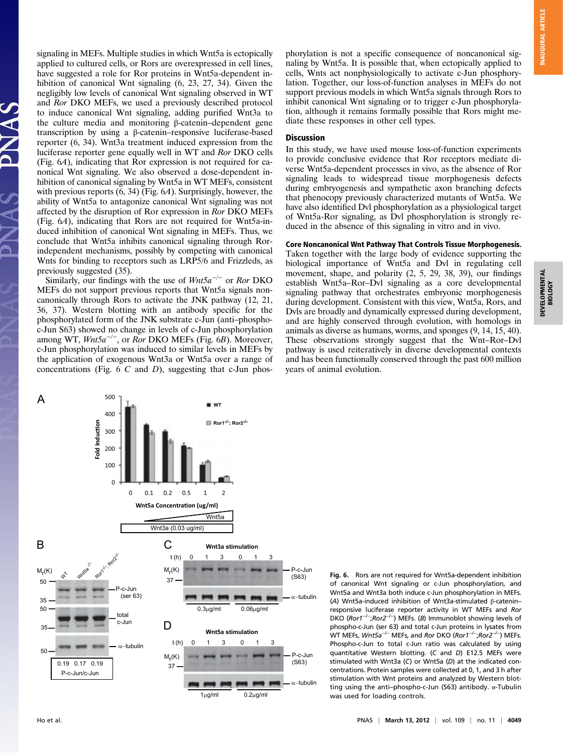**INAUGURAL ARTICLE** INAUGURAL ARTICLE

signaling in MEFs. Multiple studies in which Wnt5a is ectopically applied to cultured cells, or Rors are overexpressed in cell lines, have suggested a role for Ror proteins in Wnt5a-dependent inhibition of canonical Wnt signaling (6, 23, 27, 34). Given the negligibly low levels of canonical Wnt signaling observed in WT and Ror DKO MEFs, we used a previously described protocol to induce canonical Wnt signaling, adding purified Wnt3a to the culture media and monitoring β-catenin–dependent gene transcription by using a β-catenin–responsive luciferase-based reporter (6, 34). Wnt3a treatment induced expression from the luciferase reporter gene equally well in WT and Ror DKO cells (Fig. 6A), indicating that Ror expression is not required for canonical Wnt signaling. We also observed a dose-dependent inhibition of canonical signaling by Wnt5a in WT MEFs, consistent with previous reports (6, 34) (Fig. 6A). Surprisingly, however, the ability of Wnt5a to antagonize canonical Wnt signaling was not affected by the disruption of Ror expression in Ror DKO MEFs (Fig. 6A), indicating that Rors are not required for Wnt5a-induced inhibition of canonical Wnt signaling in MEFs. Thus, we conclude that Wnt5a inhibits canonical signaling through Rorindependent mechanisms, possibly by competing with canonical Wnts for binding to receptors such as LRP5/6 and Frizzleds, as previously suggested (35).

Similarly, our findings with the use of  $Wnt5a^{-/-}$  or Ror DKO MEFs do not support previous reports that Wnt5a signals noncanonically through Rors to activate the JNK pathway (12, 21, 36, 37). Western blotting with an antibody specific for the phosphorylated form of the JNK substrate c-Jun (anti–phosphoc-Jun S63) showed no change in levels of c-Jun phosphorylation among WT,  $Wnt5a^{-/-}$ , or Ror DKO MEFs (Fig. 6B). Moreover, c-Jun phosphorylation was induced to similar levels in MEFs by the application of exogenous Wnt3a or Wnt5a over a range of concentrations (Fig.  $6 \, C$  and  $D$ ), suggesting that c-Jun phosphorylation is not a specific consequence of noncanonical signaling by Wnt5a. It is possible that, when ectopically applied to cells, Wnts act nonphysiologically to activate c-Jun phosphorylation. Together, our loss-of-function analyses in MEFs do not support previous models in which Wnt5a signals through Rors to inhibit canonical Wnt signaling or to trigger c-Jun phosphorylation, although it remains formally possible that Rors might mediate these responses in other cell types.

#### Discussion

In this study, we have used mouse loss-of-function experiments to provide conclusive evidence that Ror receptors mediate diverse Wnt5a-dependent processes in vivo, as the absence of Ror signaling leads to widespread tissue morphogenesis defects during embryogenesis and sympathetic axon branching defects that phenocopy previously characterized mutants of Wnt5a. We have also identified Dvl phosphorylation as a physiological target of Wnt5a-Ror signaling, as Dvl phosphorylation is strongly reduced in the absence of this signaling in vitro and in vivo.

#### Core Noncanonical Wnt Pathway That Controls Tissue Morphogenesis.

Taken together with the large body of evidence supporting the biological importance of Wnt5a and Dvl in regulating cell movement, shape, and polarity  $(2, 5, 29, 38, 39)$ , our findings establish Wnt5a–Ror–Dvl signaling as a core developmental signaling pathway that orchestrates embryonic morphogenesis during development. Consistent with this view, Wnt5a, Rors, and Dvls are broadly and dynamically expressed during development, and are highly conserved through evolution, with homologs in animals as diverse as humans, worms, and sponges (9, 14, 15, 40). These observations strongly suggest that the Wnt–Ror–Dvl pathway is used reiteratively in diverse developmental contexts and has been functionally conserved through the past 600 million years of animal evolution.



Fig. 6. Rors are not required for Wnt5a-dependent inhibition of canonical Wnt signaling or c-Jun phosphorylation, and Wnt5a and Wnt3a both induce c-Jun phosphorylation in MEFs. (A) Wnt5a-induced inhibition of Wnt3a-stimulated β-catenin– responsive luciferase reporter activity in WT MEFs and Ror DKO (Ror1<sup>-/-</sup>;Ror2<sup>-/-</sup>) MEFs. (B) Immunoblot showing levels of phospho-c-Jun (ser 63) and total c-Jun proteins in lysates from WT MEFs, *Wnt5a<sup>−/−</sup>* MEFs, and *Ror* DKO (*Ror1<sup>−/−</sup>;Ror2<sup>−/−</sup>)* MEFs. Phospho-c-Jun to total c-Jun ratio was calculated by using quantitative Western blotting. (C and D) E12.5 MEFs were stimulated with Wnt3a (C) or Wnt5a (D) at the indicated concentrations. Protein samples were collected at 0, 1, and 3 h after stimulation with Wnt proteins and analyzed by Western blotting using the anti–phospho-c-Jun (S63) antibody. α-Tubulin was used for loading controls.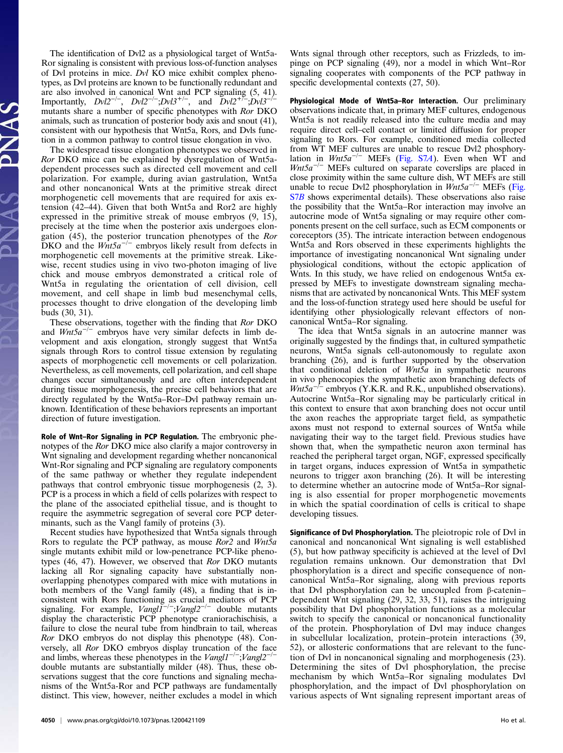The identification of Dvl2 as a physiological target of Wnt5a-Ror signaling is consistent with previous loss-of-function analyses of Dvl proteins in mice. Dvl KO mice exhibit complex phenotypes, as Dvl proteins are known to be functionally redundant and are also involved in canonical Wnt and PCP signaling (5, 41). Importantly,  $Dv/2^{-/-}$ ,  $Dv/2^{-/-}$ ; $Dv/3^{+/-}$ , and  $Dv/2^{+/-}$ ; $Dv/3^{-/-}$ <br>mutants share a number of specific phenotypes with Ror DKO mutants share a number of specific phenotypes with Ror DKO animals, such as truncation of posterior body axis and snout (41), consistent with our hypothesis that Wnt5a, Rors, and Dvls function in a common pathway to control tissue elongation in vivo.

The widespread tissue elongation phenotypes we observed in Ror DKO mice can be explained by dysregulation of Wnt5adependent processes such as directed cell movement and cell polarization. For example, during avian gastrulation, Wnt5a and other noncanonical Wnts at the primitive streak direct morphogenetic cell movements that are required for axis extension (42–44). Given that both Wnt5a and Ror2 are highly expressed in the primitive streak of mouse embryos (9, 15), precisely at the time when the posterior axis undergoes elongation (45), the posterior truncation phenotypes of the Ror<br>DKO and the Wnt5a<sup>-/−</sup> embryos likely result from defects in<br>morphogenetic cell movements at the primitive streak Tikemorphogenetic cell movements at the primitive streak. Likewise, recent studies using in vivo two-photon imaging of live chick and mouse embryos demonstrated a critical role of Wnt5a in regulating the orientation of cell division, cell movement, and cell shape in limb bud mesenchymal cells, processes thought to drive elongation of the developing limb buds (30, 31).

These observations, together with the finding that Ror DKO and  $Wnt5a^{-/-}$  embryos have very similar defects in limb development and axis elongation, strongly suggest that Wnt5a signals through Rors to control tissue extension by regulating aspects of morphogenetic cell movements or cell polarization. Nevertheless, as cell movements, cell polarization, and cell shape changes occur simultaneously and are often interdependent during tissue morphogenesis, the precise cell behaviors that are directly regulated by the Wnt5a–Ror–Dvl pathway remain unknown. Identification of these behaviors represents an important direction of future investigation.

Role of Wnt–Ror Signaling in PCP Regulation. The embryonic phenotypes of the Ror DKO mice also clarify a major controversy in Wnt signaling and development regarding whether noncanonical Wnt-Ror signaling and PCP signaling are regulatory components of the same pathway or whether they regulate independent pathways that control embryonic tissue morphogenesis (2, 3). PCP is a process in which a field of cells polarizes with respect to the plane of the associated epithelial tissue, and is thought to require the asymmetric segregation of several core PCP determinants, such as the Vangl family of proteins (3).

Recent studies have hypothesized that Wnt5a signals through Rors to regulate the PCP pathway, as mouse Ror2 and Wnt5a single mutants exhibit mild or low-penetrance PCP-like phenotypes (46, 47). However, we observed that Ror DKO mutants lacking all Ror signaling capacity have substantially nonoverlapping phenotypes compared with mice with mutations in both members of the Vangl family (48), a finding that is inconsistent with Rors functioning as crucial mediators of PCP signaling. For example,  $Vangl1^{-/-}$ ; Vangl $2^{-/-}$  double mutants display the characteristic PCP phenotype craniorachischisis, a failure to close the neural tube from hindbrain to tail, whereas Ror DKO embryos do not display this phenotype (48). Conversely, all Ror DKO embryos display truncation of the face versely, all *Ror* DKO embryos display truncation of the face and limbs, whereas these phenotypes in the *Vangl1<sup>−/-</sup>;Vangl2<sup>-/-</sup>* double mutants are substantially milder (48). Thus these obdouble mutants are substantially milder (48). Thus, these observations suggest that the core functions and signaling mechanisms of the Wnt5a-Ror and PCP pathways are fundamentally distinct. This view, however, neither excludes a model in which

4050 <sup>|</sup> www.pnas.org/cgi/doi/10.1073/pnas.1200421109 Ho et al.

Wnts signal through other receptors, such as Frizzleds, to impinge on PCP signaling (49), nor a model in which Wnt–Ror signaling cooperates with components of the PCP pathway in specific developmental contexts (27, 50).

Physiological Mode of Wnt5a–Ror Interaction. Our preliminary observations indicate that, in primary MEF cultures, endogenous Wnt5a is not readily released into the culture media and may require direct cell–cell contact or limited diffusion for proper signaling to Rors. For example, conditioned media collected from WT MEF cultures are unable to rescue Dvl2 phosphorylation in  $Wnt5a^{-/-}$  MEFs (Fig. S7A). Even when WT and  $Wnt5a^{-/-}$  MEFs cultured on separate coverslips are placed in close proximity within the same culture dish, WT MEFs are still unable to recue Dvl2 phosphorylation in  $Wnt5a^{-/-}$  MEFs (Fig. S7B shows experimental details). These observations also raise the possibility that the Wnt5a–Ror interaction may involve an autocrine mode of Wnt5a signaling or may require other components present on the cell surface, such as ECM components or coreceptors (35). The intricate interaction between endogenous Wnt5a and Rors observed in these experiments highlights the importance of investigating noncanonical Wnt signaling under physiological conditions, without the ectopic application of Wnts. In this study, we have relied on endogenous Wnt5a expressed by MEFs to investigate downstream signaling mechanisms that are activated by noncanonical Wnts. This MEF system and the loss-of-function strategy used here should be useful for identifying other physiologically relevant effectors of noncanonical Wnt5a–Ror signaling.

The idea that Wnt5a signals in an autocrine manner was originally suggested by the findings that, in cultured sympathetic neurons, Wnt5a signals cell-autonomously to regulate axon branching (26), and is further supported by the observation that conditional deletion of Wnt5a in sympathetic neurons in vivo phenocopies the sympathetic axon branching defects of  $Wnt5a^{-/-}$  embryos (Y.K.R. and R.K., unpublished observations). Autocrine Wnt5a–Ror signaling may be particularly critical in this context to ensure that axon branching does not occur until the axon reaches the appropriate target field, as sympathetic axons must not respond to external sources of Wnt5a while navigating their way to the target field. Previous studies have shown that, when the sympathetic neuron axon terminal has reached the peripheral target organ, NGF, expressed specifically in target organs, induces expression of Wnt5a in sympathetic neurons to trigger axon branching (26). It will be interesting to determine whether an autocrine mode of Wnt5a–Ror signaling is also essential for proper morphogenetic movements in which the spatial coordination of cells is critical to shape developing tissues.

Significance of Dvl Phosphorylation. The pleiotropic role of Dvl in canonical and noncanonical Wnt signaling is well established (5), but how pathway specificity is achieved at the level of Dvl regulation remains unknown. Our demonstration that Dvl phosphorylation is a direct and specific consequence of noncanonical Wnt5a–Ror signaling, along with previous reports that Dvl phosphorylation can be uncoupled from β-catenin– dependent Wnt signaling (29, 32, 33, 51), raises the intriguing possibility that Dvl phosphorylation functions as a molecular switch to specify the canonical or noncanonical functionality of the protein. Phosphorylation of Dvl may induce changes in subcellular localization, protein–protein interactions (39, 52), or allosteric conformations that are relevant to the function of Dvl in noncanonical signaling and morphogenesis (23). Determining the sites of Dvl phosphorylation, the precise mechanism by which Wnt5a–Ror signaling modulates Dvl phosphorylation, and the impact of Dvl phosphorylation on various aspects of Wnt signaling represent important areas of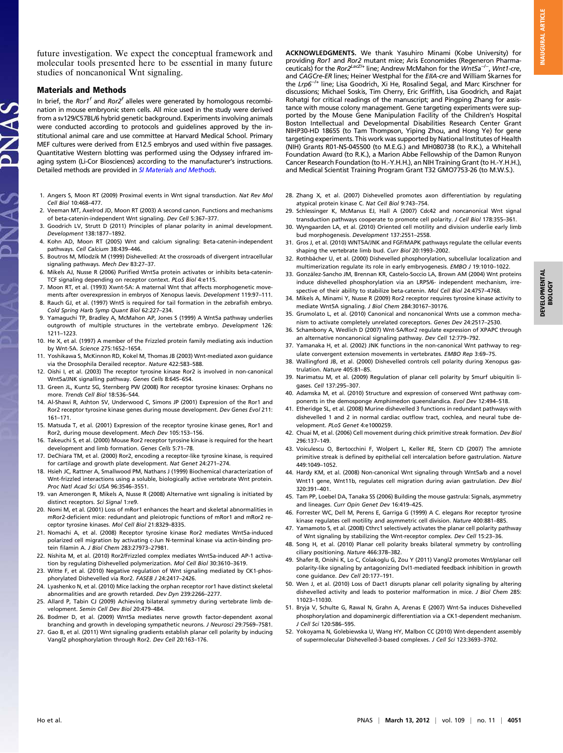future investigation. We expect the conceptual framework and molecular tools presented here to be essential in many future studies of noncanonical Wnt signaling.

#### Materials and Methods

JAS

In brief, the Ror1<sup>f</sup> and Ror2<sup>f</sup> alleles were generated by homologous recombination in mouse embryonic stem cells. All mice used in the study were derived from a sv129/C57BL/6 hybrid genetic background. Experiments involving animals were conducted according to protocols and guidelines approved by the institutional animal care and use committee at Harvard Medical School. Primary MEF cultures were derived from E12.5 embryos and used within five passages. Quantitative Western blotting was performed using the Odyssey infrared imaging system (Li-Cor Biosciences) according to the manufacturer's instructions. Detailed methods are provided in SI Materials and Methods.

- 1. Angers S, Moon RT (2009) Proximal events in Wnt signal transduction. Nat Rev Mol Cell Biol 10:468–477.
- 2. Veeman MT, Axelrod JD, Moon RT (2003) A second canon. Functions and mechanisms of beta-catenin-independent Wnt signaling. Dev Cell 5:367–377.
- 3. Goodrich LV, Strutt D (2011) Principles of planar polarity in animal development. Development 138:1877–1892.
- 4. Kohn AD, Moon RT (2005) Wnt and calcium signaling: Beta-catenin-independent pathways. Cell Calcium 38:439–446.
- 5. Boutros M, Mlodzik M (1999) Dishevelled: At the crossroads of divergent intracellular signaling pathways. Mech Dev 83:27–37.
- 6. Mikels AJ, Nusse R (2006) Purified Wnt5a protein activates or inhibits beta-catenin-TCF signaling depending on receptor context. PLoS Biol 4:e115.
- 7. Moon RT, et al. (1993) Xwnt-5A: A maternal Wnt that affects morphogenetic movements after overexpression in embryos of Xenopus laevis. Development 119:97–111.
- 8. Rauch GJ, et al. (1997) Wnt5 is required for tail formation in the zebrafish embryo. Cold Spring Harb Symp Quant Biol 62:227–234.
- 9. Yamaguchi TP, Bradley A, McMahon AP, Jones S (1999) A Wnt5a pathway underlies outgrowth of multiple structures in the vertebrate embryo. Development 126: 1211–1223.
- 10. He X, et al. (1997) A member of the Frizzled protein family mediating axis induction by Wnt-5A. Science 275:1652–1654.
- 11. Yoshikawa S, McKinnon RD, Kokel M, Thomas JB (2003) Wnt-mediated axon guidance via the Drosophila Derailed receptor. Nature 422:583–588.
- 12. Oishi I, et al. (2003) The receptor tyrosine kinase Ror2 is involved in non-canonical Wnt5a/JNK signalling pathway. Genes Cells 8:645–654.
- 13. Green JL, Kuntz SG, Sternberg PW (2008) Ror receptor tyrosine kinases: Orphans no more. Trends Cell Biol 18:536–544.
- 14. Al-Shawi R, Ashton SV, Underwood C, Simons JP (2001) Expression of the Ror1 and Ror2 receptor tyrosine kinase genes during mouse development. Dev Genes Evol 211: 161–171.
- 15. Matsuda T, et al. (2001) Expression of the receptor tyrosine kinase genes, Ror1 and Ror2, during mouse development. Mech Dev 105:153–156.
- 16. Takeuchi S, et al. (2000) Mouse Ror2 receptor tyrosine kinase is required for the heart development and limb formation. Genes Cells 5:71–78.
- 17. DeChiara TM, et al. (2000) Ror2, encoding a receptor-like tyrosine kinase, is required for cartilage and growth plate development. Nat Genet 24:271–274.
- 18. Hsieh JC, Rattner A, Smallwood PM, Nathans J (1999) Biochemical characterization of Wnt-frizzled interactions using a soluble, biologically active vertebrate Wnt protein. Proc Natl Acad Sci USA 96:3546–3551.
- 19. van Amerongen R, Mikels A, Nusse R (2008) Alternative wnt signaling is initiated by distinct receptors. Sci Signal 1:re9.
- 20. Nomi M, et al. (2001) Loss of mRor1 enhances the heart and skeletal abnormalities in mRor2-deficient mice: redundant and pleiotropic functions of mRor1 and mRor2 receptor tyrosine kinases. Mol Cell Biol 21:8329–8335.
- 21. Nomachi A, et al. (2008) Receptor tyrosine kinase Ror2 mediates Wnt5a-induced polarized cell migration by activating c-Jun N-terminal kinase via actin-binding protein filamin A. J Biol Chem 283:27973–27981.
- 22. Nishita M, et al. (2010) Ror2/Frizzled complex mediates Wnt5a-induced AP-1 activation by regulating Dishevelled polymerization. Mol Cell Biol 30:3610–3619.
- 23. Witte F, et al. (2010) Negative regulation of Wnt signaling mediated by CK1-phosphorylated Dishevelled via Ror2. FASEB J 24:2417–2426.
- 24. Lyashenko N, et al. (2010) Mice lacking the orphan receptor ror1 have distinct skeletal abnormalities and are growth retarded. Dev Dyn 239:2266–2277.
- 25. Allard P, Tabin CJ (2009) Achieving bilateral symmetry during vertebrate limb development. Semin Cell Dev Biol 20:479–484.
- 26. Bodmer D, et al. (2009) Wnt5a mediates nerve growth factor-dependent axonal branching and growth in developing sympathetic neurons. J Neurosci 29:7569–7581.
- 27. Gao B, et al. (2011) Wnt signaling gradients establish planar cell polarity by inducing Vangl2 phosphorylation through Ror2. Dev Cell 20:163–176.

ACKNOWLEDGMENTS. We thank Yasuhiro Minami (Kobe University) for providing *Ror1* and *Ror2* mutant mice; Aris Economides (Regeneron Pharma-<br>ceuticals) for the *Ror2<sup>LacZ/+</sup>* line; Andrew McMahon for the W*nt5a<sup>−/−</sup>, Wnt1-cre,* and CAGCre-ER lines; Heiner Westphal for the EIIA-cre and William Skarnes for the Lrp6−/+ line; Lisa Goodrich, Xi He, Rosalind Segal, and Marc Kirschner for discussions; Michael Soskis, Tim Cherry, Eric Griffith, Lisa Goodrich, and Rajat Rohatgi for critical readings of the manuscript; and Pingping Zhang for assistance with mouse colony management. Gene targeting experiments were supported by the Mouse Gene Manipulation Facility of the Children's Hospital Boston Intellectual and Developmental Disabilities Research Center Grant NIHP30-HD 18655 (to Tam Thompson, Yiping Zhou, and Hong Ye) for gene targeting experiments. This work was supported by National Institutes of Health (NIH) Grants R01-NS-045500 (to M.E.G.) and MH080738 (to R.K.), a Whitehall Foundation Award (to R.K.), a Marion Abbe Fellowship of the Damon Runyon Cancer Research Foundation (to H.-Y.H.H.), an NIH Training Grant (to H.-Y.H.H.), and Medical Scientist Training Program Grant T32 GMO7753-26 (to M.W.S.).

- 28. Zhang X, et al. (2007) Dishevelled promotes axon differentiation by regulating atypical protein kinase C. Nat Cell Biol 9:743–754.
- 29. Schlessinger K, McManus EJ, Hall A (2007) Cdc42 and noncanonical Wnt signal transduction pathways cooperate to promote cell polarity. J Cell Biol 178:355–361.
- 30. Wyngaarden LA, et al. (2010) Oriented cell motility and division underlie early limb bud morphogenesis. Development 137:2551–2558.
- 31. Gros J, et al. (2010) WNT5A/JNK and FGF/MAPK pathways regulate the cellular events shaping the vertebrate limb bud. Curr Biol 20:1993–2002.
- 32. Rothbächer U, et al. (2000) Dishevelled phosphorylation, subcellular localization and multimerization regulate its role in early embryogenesis. EMBO J 19:1010-1022.
- 33. González-Sancho JM, Brennan KR, Castelo-Soccio LA, Brown AM (2004) Wnt proteins induce dishevelled phosphorylation via an LRP5/6- independent mechanism, irrespective of their ability to stabilize beta-catenin. Mol Cell Biol 24:4757–4768.
- 34. Mikels A, Minami Y, Nusse R (2009) Ror2 receptor requires tyrosine kinase activity to mediate Wnt5A signaling. J Biol Chem 284:30167–30176.
- 35. Grumolato L, et al. (2010) Canonical and noncanonical Wnts use a common mechanism to activate completely unrelated coreceptors. Genes Dev 24:2517–2530.
- 36. Schambony A, Wedlich D (2007) Wnt-5A/Ror2 regulate expression of XPAPC through an alternative noncanonical signaling pathway. Dev Cell 12:779–792.
- 37. Yamanaka H, et al. (2002) JNK functions in the non-canonical Wnt pathway to regulate convergent extension movements in vertebrates. EMBO Rep 3:69–75.
- 38. Wallingford JB, et al. (2000) Dishevelled controls cell polarity during Xenopus gastrulation. Nature 405:81–85.
- 39. Narimatsu M, et al. (2009) Regulation of planar cell polarity by Smurf ubiquitin ligases. Cell 137:295–307.
- 40. Adamska M, et al. (2010) Structure and expression of conserved Wnt pathway components in the demosponge Amphimedon queenslandica. Evol Dev 12:494–518.
- 41. Etheridge SL, et al. (2008) Murine dishevelled 3 functions in redundant pathways with dishevelled 1 and 2 in normal cardiac outflow tract, cochlea, and neural tube development. PLoS Genet 4:e1000259.
- 42. Chuai M, et al. (2006) Cell movement during chick primitive streak formation. Dev Biol 296:137–149.
- 43. Voiculescu O, Bertocchini F, Wolpert L, Keller RE, Stern CD (2007) The amniote primitive streak is defined by epithelial cell intercalation before gastrulation. Nature 449:1049–1052.
- 44. Hardy KM, et al. (2008) Non-canonical Wnt signaling through Wnt5a/b and a novel Wnt11 gene, Wnt11b, regulates cell migration during avian gastrulation. Dev Biol 320:391–401.
- 45. Tam PP, Loebel DA, Tanaka SS (2006) Building the mouse gastrula: Signals, asymmetry and lineages. Curr Opin Genet Dev 16:419–425.
- 46. Forrester WC, Dell M, Perens E, Garriga G (1999) A C. elegans Ror receptor tyrosine kinase regulates cell motility and asymmetric cell division. Nature 400:881–885.
- 47. Yamamoto S, et al. (2008) Cthrc1 selectively activates the planar cell polarity pathway of Wnt signaling by stabilizing the Wnt-receptor complex. Dev Cell 15:23–36.
- 48. Song H, et al. (2010) Planar cell polarity breaks bilateral symmetry by controlling ciliary positioning. Nature 466:378–382.
- 49. Shafer B, Onishi K, Lo C, Colakoglu G, Zou Y (2011) Vangl2 promotes Wnt/planar cell polarity-like signaling by antagonizing Dvl1-mediated feedback inhibition in growth cone guidance. Dev Cell 20:177–191.
- 50. Wen J, et al. (2010) Loss of Dact1 disrupts planar cell polarity signaling by altering dishevelled activity and leads to posterior malformation in mice. J Biol Chem 285: 11023–11030.
- 51. Bryja V, Schulte G, Rawal N, Grahn A, Arenas E (2007) Wnt-5a induces Dishevelled phosphorylation and dopaminergic differentiation via a CK1-dependent mechanism. J Cell Sci 120:586–595.
- 52. Yokoyama N, Golebiewska U, Wang HY, Malbon CC (2010) Wnt-dependent assembly of supermolecular Dishevelled-3-based complexes. J Cell Sci 123:3693–3702.

INAUGURAL ARTICLE INAUGURAL ARTICLE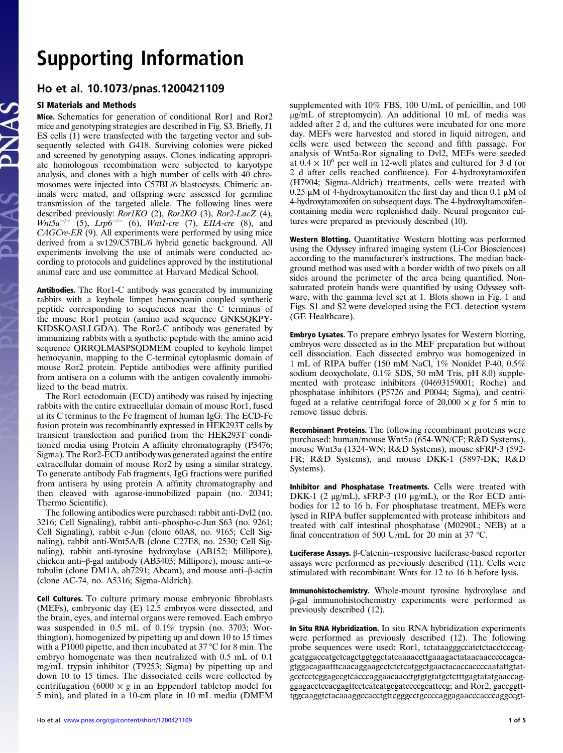# Supporting Information

### Ho et al. 10.1073/pnas.1200421109

### SI Materials and Methods

Mice. Schematics for generation of conditional Ror1 and Ror2 mice and genotyping strategies are described in Fig. S3. Briefly, J1 ES cells (1) were transfected with the targeting vector and subsequently selected with G418. Surviving colonies were picked and screened by genotyping assays. Clones indicating appropriate homologous recombination were subjected to karyotype analysis, and clones with a high number of cells with 40 chromosomes were injected into C57BL/6 blastocysts. Chimeric animals were mated, and offspring were assessed for germline transmission of the targeted allele. The following lines were described previously: Ror1KO (2), Ror2KO (3), Ror2-LacZ (4),  $Wnt5a^{-/-}$  (5),  $Lrp6^{-/-}$  (6),  $Wnt1-cre$  (7),  $EIIA-cre$  (8), and CAGCre-ER (9). All experiments were performed by using mice derived from a sv129/C57BL/6 hybrid genetic background. All experiments involving the use of animals were conducted according to protocols and guidelines approved by the institutional animal care and use committee at Harvard Medical School.

Antibodies. The Ror1-C antibody was generated by immunizing rabbits with a keyhole limpet hemocyanin coupled synthetic peptide corresponding to sequences near the C terminus of the mouse Ror1 protein (amino acid sequence GNKSQKPY-KIDSKQASLLGDA). The Ror2-C antibody was generated by immunizing rabbits with a synthetic peptide with the amino acid sequence QRRQLMASPSQDMEM coupled to keyhole limpet hemocyanin, mapping to the C-terminal cytoplasmic domain of mouse Ror2 protein. Peptide antibodies were affinity purified from antisera on a column with the antigen covalently immobilized to the bead matrix.

The Ror1 ectodomain (ECD) antibody was raised by injecting rabbits with the entire extracellular domain of mouse Ror1, fused at its C terminus to the Fc fragment of human IgG. The ECD-Fc fusion protein was recombinantly expressed in HEK293T cells by transient transfection and purified from the HEK293T conditioned media using Protein A affinity chromatography (P3476; Sigma). The Ror2-ECD antibody was generated against the entire extracellular domain of mouse Ror2 by using a similar strategy. To generate antibody Fab fragments, IgG fractions were purified from antisera by using protein A affinity chromatography and then cleaved with agarose-immobilized papain (no. 20341; Thermo Scientific).

The following antibodies were purchased: rabbit anti-Dvl2 (no. 3216; Cell Signaling), rabbit anti–phospho-c-Jun S63 (no. 9261; Cell Signaling), rabbit c-Jun (clone 60A8, no. 9165; Cell Signaling), rabbit anti-Wnt5A/B (clone C27E8, no. 2530; Cell Signaling), rabbit anti-tyrosine hydroxylase (AB152; Millipore), chicken anti–β-gal antibody (AB3403; Millipore), mouse anti–αtubulin (clone DM1A, ab7291; Abcam), and mouse anti–β-actin (clone AC-74, no. A5316; Sigma-Aldrich).

Cell Cultures. To culture primary mouse embryonic fibroblasts (MEFs), embryonic day (E) 12.5 embryos were dissected, and the brain, eyes, and internal organs were removed. Each embryo was suspended in 0.5 mL of 0.1% trypsin (no. 3703; Worthington), homogenized by pipetting up and down 10 to 15 times with a P1000 pipette, and then incubated at 37 °C for 8 min. The embryo homogenate was then neutralized with 0.5 mL of 0.1 mg/mL trypsin inhibitor (T9253; Sigma) by pipetting up and down 10 to 15 times. The dissociated cells were collected by centrifugation (6000  $\times$  g in an Eppendorf tabletop model for 5 min), and plated in a 10-cm plate in 10 mL media (DMEM supplemented with 10% FBS, 100 U/mL of penicillin, and 100 μg/mL of streptomycin). An additional 10 mL of media was added after 2 d, and the cultures were incubated for one more day. MEFs were harvested and stored in liquid nitrogen, and cells were used between the second and fifth passage. For analysis of Wnt5a-Ror signaling to Dvl2, MEFs were seeded at  $0.4 \times 10^6$  per well in 12-well plates and cultured for 3 d (or 2 d after cells reached confluence). For 4-hydroxytamoxifen (H7904; Sigma-Aldrich) treatments, cells were treated with  $0.25 \mu$ M of 4-hydroxytamoxifen the first day and then 0.1 μM of 4-hydroxytamoxifen on subsequent days. The 4-hydroxyltamoxifencontaining media were replenished daily. Neural progenitor cultures were prepared as previously described (10).

Western Blotting. Quantitative Western blotting was performed using the Odyssey infrared imaging system (Li-Cor Biosciences) according to the manufacturer's instructions. The median background method was used with a border width of two pixels on all sides around the perimeter of the area being quantified. Nonsaturated protein bands were quantified by using Odyssey software, with the gamma level set at 1. Blots shown in Fig. 1 and Figs. S1 and S2 were developed using the ECL detection system (GE Healthcare).

Embryo Lysates. To prepare embryo lysates for Western blotting, embryos were dissected as in the MEF preparation but without cell dissociation. Each dissected embryo was homogenized in 1 mL of RIPA buffer (150 mM NaCl, 1% Nonidet P-40, 0.5% sodium deoxycholate, 0.1% SDS, 50 mM Tris, pH 8.0) supplemented with protease inhibitors (04693159001; Roche) and phosphatase inhibitors (P5726 and P0044; Sigma), and centrifuged at a relative centrifugal force of  $20,000 \times g$  for 5 min to remove tissue debris.

Recombinant Proteins. The following recombinant proteins were purchased: human/mouse Wnt5a (654-WN/CF; R&D Systems), mouse Wnt3a (1324-WN; R&D Systems), mouse sFRP-3 (592- FR; R&D Systems), and mouse DKK-1 (5897-DK; R&D Systems).

Inhibitor and Phosphatase Treatments. Cells were treated with DKK-1 (2 μg/mL), sFRP-3 (10 μg/mL), or the Ror ECD antibodies for 12 to 16 h. For phosphatase treatment, MEFs were lysed in RIPA buffer supplemented with protease inhibitors and treated with calf intestinal phosphatase (M0290L; NEB) at a final concentration of 500 U/mL for 20 min at 37 °C.

Luciferase Assays. β-Catenin–responsive luciferase-based reporter assays were performed as previously described (11). Cells were stimulated with recombinant Wnts for 12 to 16 h before lysis.

Immunohistochemistry. Whole-mount tyrosine hydroxylase and β-gal immunohistochemistry experiments were performed as previously described (12).

In Situ RNA Hybridization. In situ RNA hybridization experiments were performed as previously described (12). The following probe sequences were used: Ror1, tctataagggccatctctacctcccaggcatggaccatgctcagctggtggctatcaaaaccttgaaagactataacaacccccagcagtggacagaatttcaacaggaagcctctctcatggctgaactacaccaccccaatattgtatgcctcctcggagccgtcacccaggaacaacctgtgtgtatgctctttgagtatatgaaccagggagacctccacgagttcctcatcatgcgatccccgcattccg; and Ror2, gaccggtttggcaaggtctacaaaggccacctgttcgggcctgccccaggagaacccacccaggccgt-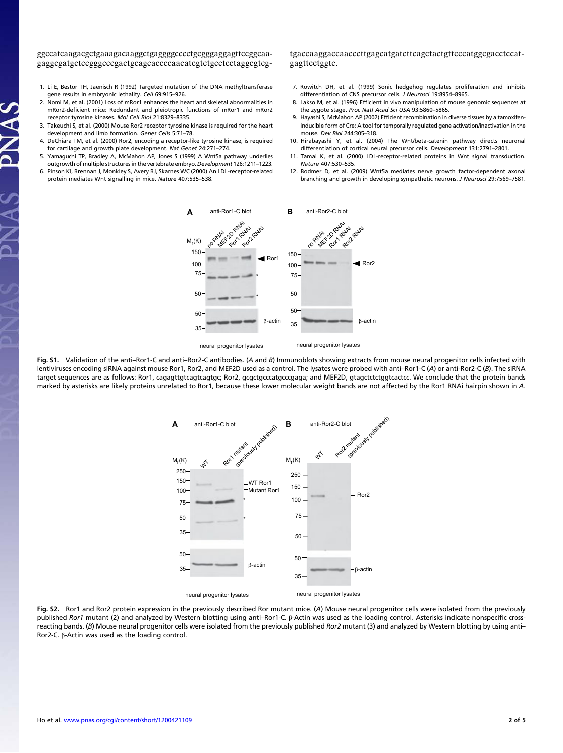ggccatcaagacgctgaaagacaaggctgaggggcccctgcgggaggagttccggcaagaggcgatgctccgggcccgactgcagcaccccaacatcgtctgcctcctaggcgtcgtgaccaaggaccaacccttgagcatgatcttcagctactgttcccatggcgacctccatgagttcctggtc.

- 1. Li E, Bestor TH, Jaenisch R (1992) Targeted mutation of the DNA methyltransferase gene results in embryonic lethality. Cell 69:915–926.
- 2. Nomi M, et al. (2001) Loss of mRor1 enhances the heart and skeletal abnormalities in mRor2-deficient mice: Redundant and pleiotropic functions of mRor1 and mRor2 receptor tyrosine kinases. Mol Cell Biol 21:8329–8335.
- 3. Takeuchi S, et al. (2000) Mouse Ror2 receptor tyrosine kinase is required for the heart development and limb formation. Genes Cells 5:71–78.
- 4. DeChiara TM, et al. (2000) Ror2, encoding a receptor-like tyrosine kinase, is required for cartilage and growth plate development. Nat Genet 24:271–274.
- 5. Yamaguchi TP, Bradley A, McMahon AP, Jones S (1999) A Wnt5a pathway underlies outgrowth of multiple structures in the vertebrate embryo. Development 126:1211–1223.
- 6. Pinson KI, Brennan J, Monkley S, Avery BJ, Skarnes WC (2000) An LDL-receptor-related protein mediates Wnt signalling in mice. Nature 407:535–538.
- 7. Rowitch DH, et al. (1999) Sonic hedgehog regulates proliferation and inhibits differentiation of CNS precursor cells. J Neurosci 19:8954–8965.
- 8. Lakso M, et al. (1996) Efficient in vivo manipulation of mouse genomic sequences at the zygote stage. Proc Natl Acad Sci USA 93:5860–5865.
- 9. Hayashi S, McMahon AP (2002) Efficient recombination in diverse tissues by a tamoxifeninducible form of Cre: A tool for temporally regulated gene activation/inactivation in the mouse. Dev Biol 244:305–318.
- 10. Hirabayashi Y, et al. (2004) The Wnt/beta-catenin pathway directs neuronal differentiation of cortical neural precursor cells. Development 131:2791–2801.
- 11. Tamai K, et al. (2000) LDL-receptor-related proteins in Wnt signal transduction. Nature 407:530–535.
- 12. Bodmer D, et al. (2009) Wnt5a mediates nerve growth factor-dependent axonal branching and growth in developing sympathetic neurons. J Neurosci 29:7569–7581.



Fig. S1. Validation of the anti-Ror1-C and anti-Ror2-C antibodies. (A and B) Immunoblots showing extracts from mouse neural progenitor cells infected with lentiviruses encoding siRNA against mouse Ror1, Ror2, and MEF2D used as a control. The lysates were probed with anti–Ror1-C (A) or anti-Ror2-C (B). The siRNA target sequences are as follows: Ror1, cagagttgtcagtcagtgc; Ror2, gcgctgcccatgcccgaga; and MEF2D, gtagctctctggtcactcc. We conclude that the protein bands marked by asterisks are likely proteins unrelated to Ror1, because these lower molecular weight bands are not affected by the Ror1 RNAi hairpin shown in A.



Fig. S2. Ror1 and Ror2 protein expression in the previously described Ror mutant mice. (A) Mouse neural progenitor cells were isolated from the previously published Ror1 mutant (2) and analyzed by Western blotting using anti–Ror1-C. β-Actin was used as the loading control. Asterisks indicate nonspecific crossreacting bands. (B) Mouse neural progenitor cells were isolated from the previously published Ror2 mutant (3) and analyzed by Western blotting by using anti-Ror2-C. β-Actin was used as the loading control.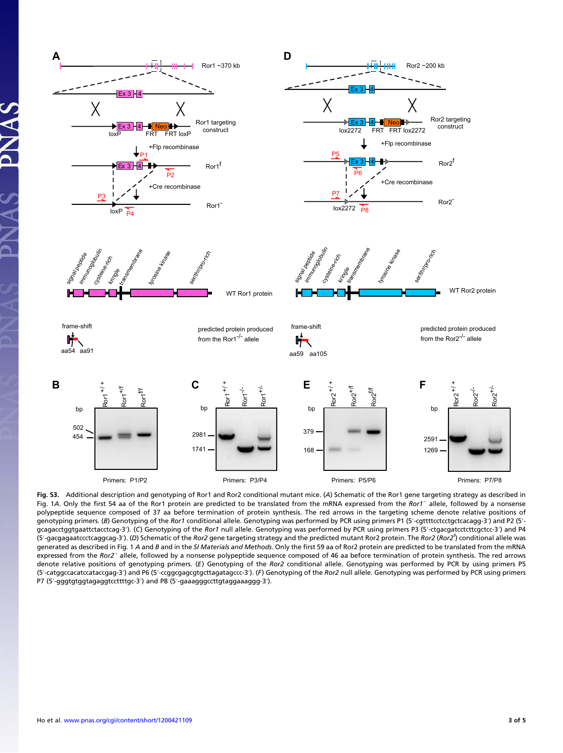

Fig. S3. Additional description and genotyping of Ror1 and Ror2 conditional mutant mice. (A) Schematic of the Ror1 gene targeting strategy as described in Fig. 1A. Only the first 54 aa of the Ror1 protein are predicted to be translated from the mRNA expressed from the Ror1<sup>−</sup> allele, followed by a nonsense polypeptide sequence composed of 37 aa before termination of protein synthesis. The red arrows in the targeting scheme denote relative positions of genotyping primers. (B) Genotyping of the Ror1 conditional allele. Genotyping was performed by PCR using primers P1 (5'-cgttttcctcctgctcacagg-3') and P2 (5'gcagacctggtgaattctacctcag-3'). (C) Genotyping of the Ror1 null allele. Genotyping was performed by PCR using primers P3 (5'-ctgacgatcctcttcgctcc-3') and P4 (5'-gacgagaatccctcaggcag-3'). (D) Schematic of the Ror2 gene targeting strategy and the predicted mutant Ror2 protein. The Ror2 (Ror2<sup>1</sup>) conditional allele was generated as described in Fig. 1 A and B and in the SI Materials and Methods. Only the first 59 aa of Ror2 protein are predicted to be translated from the mRNA expressed from the Ror2<sup>−</sup> allele, followed by a nonsense polypeptide sequence composed of 46 aa before termination of protein synthesis. The red arrows denote relative positions of genotyping primers. (E) Genotyping of the Ror2 conditional allele. Genotyping was performed by PCR by using primers P5 (5′-catggccacatccataccgag-3′) and P6 (5′-ccggcgagcgtgcttagatagccc-3′). (F) Genotyping of the Ror2 null allele. Genotyping was performed by PCR using primers P7 (5′-gggtgtggtagaggtccttttgc-3′) and P8 (5′-gaaagggccttgtaggaaaggg-3′).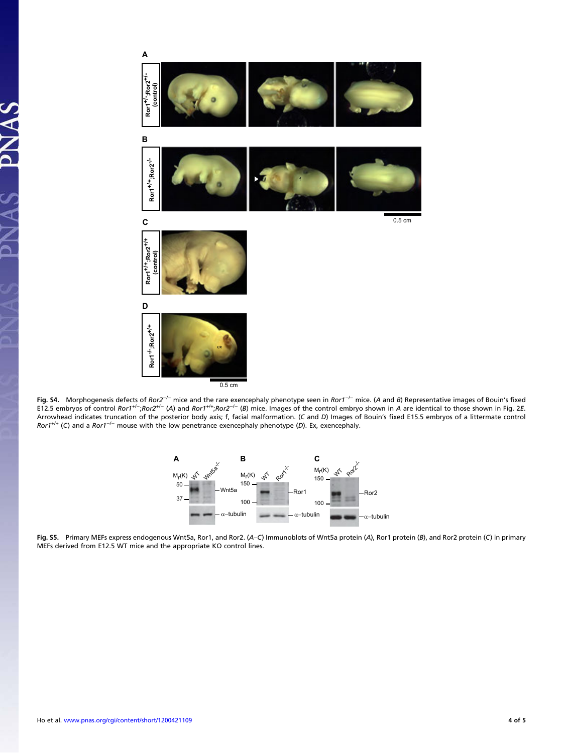

Fig. S4. Morphogenesis defects of Ror2<sup>−/−</sup> mice and the rare exencephaly phenotype seen in Ror1<sup>−/−</sup> mice. (A and B) Representative images of Bouin's fixed E12.5 embryos of control Ror1<sup>+/−</sup>;Ror2<sup>+/−</sup> (A) and Ror1<sup>+/+</sup>;Ror2<sup>-/−</sup> (B) mice. Images of the control embryo shown in A are identical to those shown in Fig. 2E. Arrowhead indicates truncation of the posterior body axis; f, facial malformation. (C and D) Images of Bouin's fixed E15.5 embryos of a littermate control Ror1+/+ (C) and a Ror1−/<sup>−</sup> mouse with the low penetrance exencephaly phenotype (D). Ex, exencephaly.



Fig. S5. Primary MEFs express endogenous Wnt5a, Ror1, and Ror2. (A–C) Immunoblots of Wnt5a protein (A), Ror1 protein (B), and Ror2 protein (C) in primary MEFs derived from E12.5 WT mice and the appropriate KO control lines.

 $\overline{\mathbf{A}}$